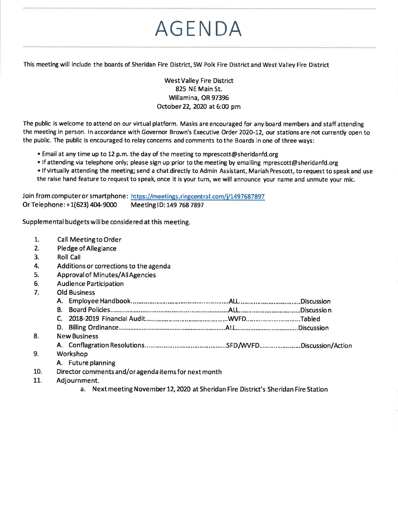# **AGENDA**

This meeting will include the boards of Sheridan Fire District, SW Polk Fire District and West Valley Fire District

#### **West Valley Fire District** 825 NE Main St. Willamina, OR 97396 October 22, 2020 at 6:00 pm

The public is welcome to attend on our virtual platform. Masks are encouraged for any board members and staff attending the meeting in person. In accordance with Governor Brown's Executive Order 2020-12, our stations are not currently open to the public. The public is encouraged to relay concerns and comments to the Boards in one of three ways:

- . Email at any time up to 12 p.m. the day of the meeting to mprescott@sheridanfd.org
- If attending via telephone only; please sign up prior to the meeting by emailing mprescott@sheridanfd.org
- If virtually attending the meeting; send a chat directly to Admin Assistant, Mariah Prescott, to request to speak and use the raise hand feature to request to speak, once it is your turn, we will announce your name and unmute your mic.

Join from computer or smartphone: https://meetings.ringcentral.com/j/1497687897 Or Telephone: +1(623) 404-9000 Meeting ID: 149 768 7897

Supplemental budgets will be considered at this meeting.

Call Meeting to Order

1.

| 2.  | <b>Pledge of Allegiance</b>                                                         |  |  |  |  |
|-----|-------------------------------------------------------------------------------------|--|--|--|--|
| 3.  | <b>Roll Call</b>                                                                    |  |  |  |  |
| 4.  | Additions or corrections to the agenda                                              |  |  |  |  |
| 5.  | <b>Approval of Minutes/All Agencies</b>                                             |  |  |  |  |
| 6.  | <b>Audience Participation</b>                                                       |  |  |  |  |
| 7.  | <b>Old Business</b>                                                                 |  |  |  |  |
|     |                                                                                     |  |  |  |  |
|     |                                                                                     |  |  |  |  |
|     |                                                                                     |  |  |  |  |
|     |                                                                                     |  |  |  |  |
| 8.  | <b>New Business</b>                                                                 |  |  |  |  |
|     |                                                                                     |  |  |  |  |
| 9.  | Workshop                                                                            |  |  |  |  |
|     | A. Future planning                                                                  |  |  |  |  |
| 10. | Director comments and/or agenda items for next month                                |  |  |  |  |
| 11. | Adjournment.                                                                        |  |  |  |  |
|     | a. Next meeting November 12, 2020 at Sheridan Fire District's Sheridan Fire Station |  |  |  |  |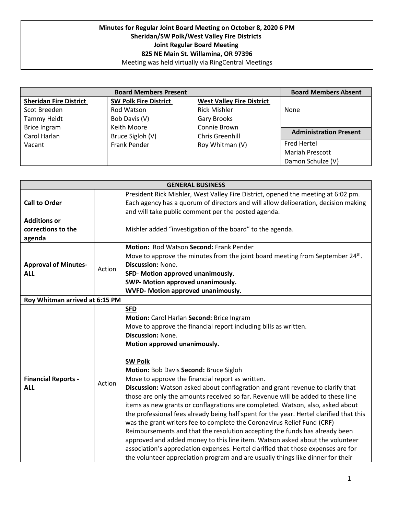#### **Minutes for Regular Joint Board Meeting on October 8, 2020 6 PM Sheridan/SW Polk/West Valley Fire Districts Joint Regular Board Meeting 825 NE Main St. Willamina, OR 97396** Meeting was held virtually via RingCentral Meetings

|                               | <b>Board Members Absent</b>  |                                  |                               |
|-------------------------------|------------------------------|----------------------------------|-------------------------------|
| <b>Sheridan Fire District</b> | <b>SW Polk Fire District</b> | <b>West Valley Fire District</b> |                               |
| Scot Breeden                  | Rod Watson                   | <b>Rick Mishler</b>              | <b>None</b>                   |
| <b>Tammy Heidt</b>            | Bob Davis (V)                | Gary Brooks                      |                               |
| <b>Brice Ingram</b>           | Keith Moore                  | Connie Brown                     |                               |
| Carol Harlan                  | Bruce Sigloh (V)             | <b>Chris Greenhill</b>           | <b>Administration Present</b> |
| Vacant                        | <b>Frank Pender</b>          | Roy Whitman (V)                  | <b>Fred Hertel</b>            |
|                               |                              |                                  | <b>Mariah Prescott</b>        |
|                               |                              |                                  | Damon Schulze (V)             |

| <b>GENERAL BUSINESS</b>                             |        |                                                                                                                                                                                                                                                                                                                                                                                                                                                                                                                                                                                                                                                                                                                                                                                                                                                                                                                                                                                                                                                                             |  |
|-----------------------------------------------------|--------|-----------------------------------------------------------------------------------------------------------------------------------------------------------------------------------------------------------------------------------------------------------------------------------------------------------------------------------------------------------------------------------------------------------------------------------------------------------------------------------------------------------------------------------------------------------------------------------------------------------------------------------------------------------------------------------------------------------------------------------------------------------------------------------------------------------------------------------------------------------------------------------------------------------------------------------------------------------------------------------------------------------------------------------------------------------------------------|--|
| <b>Call to Order</b>                                |        | President Rick Mishler, West Valley Fire District, opened the meeting at 6:02 pm.<br>Each agency has a quorum of directors and will allow deliberation, decision making<br>and will take public comment per the posted agenda.                                                                                                                                                                                                                                                                                                                                                                                                                                                                                                                                                                                                                                                                                                                                                                                                                                              |  |
| <b>Additions or</b><br>corrections to the<br>agenda |        | Mishler added "investigation of the board" to the agenda.                                                                                                                                                                                                                                                                                                                                                                                                                                                                                                                                                                                                                                                                                                                                                                                                                                                                                                                                                                                                                   |  |
| <b>Approval of Minutes-</b><br><b>ALL</b>           | Action | <b>Motion: Rod Watson Second: Frank Pender</b><br>Move to approve the minutes from the joint board meeting from September 24 <sup>th</sup> .<br><b>Discussion: None.</b><br>SFD- Motion approved unanimously.<br>SWP- Motion approved unanimously.<br>WVFD- Motion approved unanimously.                                                                                                                                                                                                                                                                                                                                                                                                                                                                                                                                                                                                                                                                                                                                                                                    |  |
| Roy Whitman arrived at 6:15 PM                      |        |                                                                                                                                                                                                                                                                                                                                                                                                                                                                                                                                                                                                                                                                                                                                                                                                                                                                                                                                                                                                                                                                             |  |
| <b>Financial Reports -</b><br><b>ALL</b>            | Action | <b>SFD</b><br>Motion: Carol Harlan Second: Brice Ingram<br>Move to approve the financial report including bills as written.<br><b>Discussion: None.</b><br>Motion approved unanimously.<br><b>SW Polk</b><br>Motion: Bob Davis Second: Bruce Sigloh<br>Move to approve the financial report as written.<br>Discussion: Watson asked about conflagration and grant revenue to clarify that<br>those are only the amounts received so far. Revenue will be added to these line<br>items as new grants or conflagrations are completed. Watson, also, asked about<br>the professional fees already being half spent for the year. Hertel clarified that this<br>was the grant writers fee to complete the Coronavirus Relief Fund (CRF)<br>Reimbursements and that the resolution accepting the funds has already been<br>approved and added money to this line item. Watson asked about the volunteer<br>association's appreciation expenses. Hertel clarified that those expenses are for<br>the volunteer appreciation program and are usually things like dinner for their |  |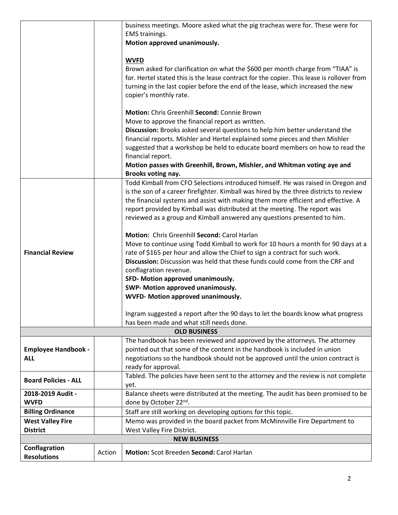|                             |        | business meetings. Moore asked what the pig tracheas were for. These were for                                                                                              |  |  |
|-----------------------------|--------|----------------------------------------------------------------------------------------------------------------------------------------------------------------------------|--|--|
|                             |        | <b>EMS</b> trainings.                                                                                                                                                      |  |  |
|                             |        | Motion approved unanimously.                                                                                                                                               |  |  |
|                             |        |                                                                                                                                                                            |  |  |
|                             |        | <b>WVFD</b><br>Brown asked for clarification on what the \$600 per month charge from "TIAA" is                                                                             |  |  |
|                             |        | for. Hertel stated this is the lease contract for the copier. This lease is rollover from                                                                                  |  |  |
|                             |        | turning in the last copier before the end of the lease, which increased the new                                                                                            |  |  |
|                             |        | copier's monthly rate.                                                                                                                                                     |  |  |
|                             |        |                                                                                                                                                                            |  |  |
|                             |        | Motion: Chris Greenhill Second: Connie Brown                                                                                                                               |  |  |
|                             |        | Move to approve the financial report as written.                                                                                                                           |  |  |
|                             |        | Discussion: Brooks asked several questions to help him better understand the                                                                                               |  |  |
|                             |        | financial reports. Mishler and Hertel explained some pieces and then Mishler                                                                                               |  |  |
|                             |        | suggested that a workshop be held to educate board members on how to read the                                                                                              |  |  |
|                             |        | financial report.                                                                                                                                                          |  |  |
|                             |        | Motion passes with Greenhill, Brown, Mishler, and Whitman voting aye and                                                                                                   |  |  |
|                             |        | Brooks voting nay.                                                                                                                                                         |  |  |
|                             |        | Todd Kimball from CFO Selections introduced himself. He was raised in Oregon and<br>is the son of a career firefighter. Kimball was hired by the three districts to review |  |  |
|                             |        | the financial systems and assist with making them more efficient and effective. A                                                                                          |  |  |
|                             |        | report provided by Kimball was distributed at the meeting. The report was                                                                                                  |  |  |
|                             |        | reviewed as a group and Kimball answered any questions presented to him.                                                                                                   |  |  |
|                             |        |                                                                                                                                                                            |  |  |
|                             |        | Motion: Chris Greenhill Second: Carol Harlan                                                                                                                               |  |  |
|                             |        | Move to continue using Todd Kimball to work for 10 hours a month for 90 days at a                                                                                          |  |  |
| <b>Financial Review</b>     |        | rate of \$165 per hour and allow the Chief to sign a contract for such work.                                                                                               |  |  |
|                             |        | Discussion: Discussion was held that these funds could come from the CRF and                                                                                               |  |  |
|                             |        | conflagration revenue.                                                                                                                                                     |  |  |
|                             |        | SFD- Motion approved unanimously.                                                                                                                                          |  |  |
|                             |        | SWP- Motion approved unanimously.                                                                                                                                          |  |  |
|                             |        | WVFD- Motion approved unanimously.                                                                                                                                         |  |  |
|                             |        | Ingram suggested a report after the 90 days to let the boards know what progress                                                                                           |  |  |
|                             |        | has been made and what still needs done.                                                                                                                                   |  |  |
| <b>OLD BUSINESS</b>         |        |                                                                                                                                                                            |  |  |
|                             |        | The handbook has been reviewed and approved by the attorneys. The attorney                                                                                                 |  |  |
| <b>Employee Handbook -</b>  |        | pointed out that some of the content in the handbook is included in union                                                                                                  |  |  |
| <b>ALL</b>                  |        | negotiations so the handbook should not be approved until the union contract is                                                                                            |  |  |
|                             |        | ready for approval.                                                                                                                                                        |  |  |
| <b>Board Policies - ALL</b> |        | Tabled. The policies have been sent to the attorney and the review is not complete                                                                                         |  |  |
| 2018-2019 Audit -           |        | yet.<br>Balance sheets were distributed at the meeting. The audit has been promised to be                                                                                  |  |  |
| <b>WVFD</b>                 |        | done by October 22nd.                                                                                                                                                      |  |  |
| <b>Billing Ordinance</b>    |        | Staff are still working on developing options for this topic.                                                                                                              |  |  |
| <b>West Valley Fire</b>     |        | Memo was provided in the board packet from McMinnville Fire Department to                                                                                                  |  |  |
| <b>District</b>             |        | West Valley Fire District.                                                                                                                                                 |  |  |
| <b>NEW BUSINESS</b>         |        |                                                                                                                                                                            |  |  |
| Conflagration               | Action | Motion: Scot Breeden Second: Carol Harlan                                                                                                                                  |  |  |
| <b>Resolutions</b>          |        |                                                                                                                                                                            |  |  |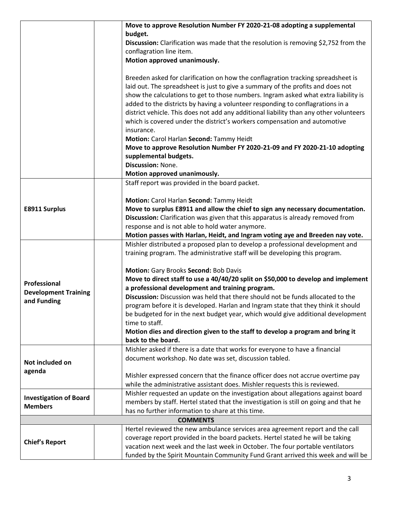|                               | Move to approve Resolution Number FY 2020-21-08 adopting a supplemental                                                                                             |
|-------------------------------|---------------------------------------------------------------------------------------------------------------------------------------------------------------------|
|                               | budget.                                                                                                                                                             |
|                               | Discussion: Clarification was made that the resolution is removing \$2,752 from the                                                                                 |
|                               | conflagration line item.                                                                                                                                            |
|                               | Motion approved unanimously.                                                                                                                                        |
|                               |                                                                                                                                                                     |
|                               | Breeden asked for clarification on how the conflagration tracking spreadsheet is<br>laid out. The spreadsheet is just to give a summary of the profits and does not |
|                               | show the calculations to get to those numbers. Ingram asked what extra liability is                                                                                 |
|                               | added to the districts by having a volunteer responding to conflagrations in a                                                                                      |
|                               | district vehicle. This does not add any additional liability than any other volunteers                                                                              |
|                               | which is covered under the district's workers compensation and automotive                                                                                           |
|                               | insurance.                                                                                                                                                          |
|                               | Motion: Carol Harlan Second: Tammy Heidt                                                                                                                            |
|                               | Move to approve Resolution Number FY 2020-21-09 and FY 2020-21-10 adopting                                                                                          |
|                               | supplemental budgets.                                                                                                                                               |
|                               | Discussion: None.                                                                                                                                                   |
|                               | Motion approved unanimously.                                                                                                                                        |
|                               | Staff report was provided in the board packet.                                                                                                                      |
|                               |                                                                                                                                                                     |
|                               | Motion: Carol Harlan Second: Tammy Heidt                                                                                                                            |
| <b>E8911 Surplus</b>          | Move to surplus E8911 and allow the chief to sign any necessary documentation.                                                                                      |
|                               | Discussion: Clarification was given that this apparatus is already removed from<br>response and is not able to hold water anymore.                                  |
|                               | Motion passes with Harlan, Heidt, and Ingram voting aye and Breeden nay vote.                                                                                       |
|                               |                                                                                                                                                                     |
|                               |                                                                                                                                                                     |
|                               | Mishler distributed a proposed plan to develop a professional development and                                                                                       |
|                               | training program. The administrative staff will be developing this program.                                                                                         |
|                               | Motion: Gary Brooks Second: Bob Davis                                                                                                                               |
|                               | Move to direct staff to use a 40/40/20 split on \$50,000 to develop and implement                                                                                   |
| Professional                  | a professional development and training program.                                                                                                                    |
| <b>Development Training</b>   | Discussion: Discussion was held that there should not be funds allocated to the                                                                                     |
| and Funding                   | program before it is developed. Harlan and Ingram state that they think it should                                                                                   |
|                               | be budgeted for in the next budget year, which would give additional development                                                                                    |
|                               | time to staff.                                                                                                                                                      |
|                               | Motion dies and direction given to the staff to develop a program and bring it                                                                                      |
|                               | back to the board.                                                                                                                                                  |
|                               | Mishler asked if there is a date that works for everyone to have a financial                                                                                        |
| Not included on               | document workshop. No date was set, discussion tabled.                                                                                                              |
| agenda                        |                                                                                                                                                                     |
|                               | Mishler expressed concern that the finance officer does not accrue overtime pay<br>while the administrative assistant does. Mishler requests this is reviewed.      |
|                               | Mishler requested an update on the investigation about allegations against board                                                                                    |
| <b>Investigation of Board</b> | members by staff. Hertel stated that the investigation is still on going and that he                                                                                |
| <b>Members</b>                | has no further information to share at this time.                                                                                                                   |
|                               | <b>COMMENTS</b>                                                                                                                                                     |
|                               | Hertel reviewed the new ambulance services area agreement report and the call                                                                                       |
|                               | coverage report provided in the board packets. Hertel stated he will be taking                                                                                      |
| <b>Chief's Report</b>         | vacation next week and the last week in October. The four portable ventilators<br>funded by the Spirit Mountain Community Fund Grant arrived this week and will be  |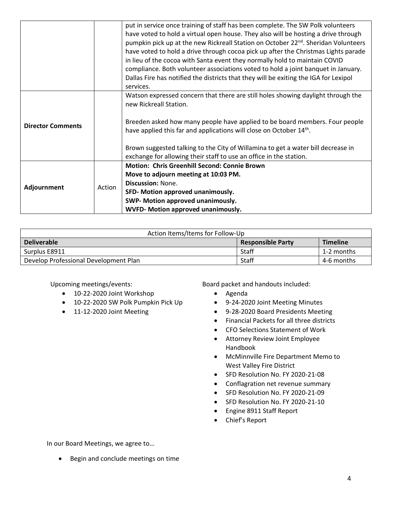|  | put in service once training of staff has been complete. The SW Polk volunteers                |  |
|--|------------------------------------------------------------------------------------------------|--|
|  | have voted to hold a virtual open house. They also will be hosting a drive through             |  |
|  | pumpkin pick up at the new Rickreall Station on October 22 <sup>nd</sup> . Sheridan Volunteers |  |
|  |                                                                                                |  |
|  | have voted to hold a drive through cocoa pick up after the Christmas Lights parade             |  |
|  | in lieu of the cocoa with Santa event they normally hold to maintain COVID                     |  |
|  | compliance. Both volunteer associations voted to hold a joint banquet in January.              |  |
|  | Dallas Fire has notified the districts that they will be exiting the IGA for Lexipol           |  |
|  | services.                                                                                      |  |
|  | Watson expressed concern that there are still holes showing daylight through the               |  |
|  | new Rickreall Station.                                                                         |  |
|  |                                                                                                |  |
|  | Breeden asked how many people have applied to be board members. Four people                    |  |
|  | have applied this far and applications will close on October 14th.                             |  |
|  |                                                                                                |  |
|  | Brown suggested talking to the City of Willamina to get a water bill decrease in               |  |
|  | exchange for allowing their staff to use an office in the station.                             |  |
|  | <b>Motion: Chris Greenhill Second: Connie Brown</b>                                            |  |
|  | Move to adjourn meeting at 10:03 PM.                                                           |  |
|  | Discussion: None.                                                                              |  |
|  | SFD- Motion approved unanimously.                                                              |  |
|  | SWP- Motion approved unanimously.                                                              |  |
|  | WVFD- Motion approved unanimously.                                                             |  |
|  | Action                                                                                         |  |

| Action Items/Items for Follow-Up      |                          |                 |  |
|---------------------------------------|--------------------------|-----------------|--|
| <b>Deliverable</b>                    | <b>Responsible Party</b> | <b>Timeline</b> |  |
| Surplus E8911                         | Staff                    | 1-2 months      |  |
| Develop Professional Development Plan | Staff                    | 4-6 months      |  |

Upcoming meetings/events:

- 10-22-2020 Joint Workshop
- 10-22-2020 SW Polk Pumpkin Pick Up
- 11-12-2020 Joint Meeting

Board packet and handouts included:

- Agenda
- 9-24-2020 Joint Meeting Minutes
- 9-28-2020 Board Presidents Meeting
- Financial Packets for all three districts
- CFO Selections Statement of Work
- Attorney Review Joint Employee Handbook
- McMinnville Fire Department Memo to West Valley Fire District
- SFD Resolution No. FY 2020-21-08
- Conflagration net revenue summary
- SFD Resolution No. FY 2020-21-09
- SFD Resolution No. FY 2020-21-10
- Engine 8911 Staff Report
- Chief's Report

In our Board Meetings, we agree to…

• Begin and conclude meetings on time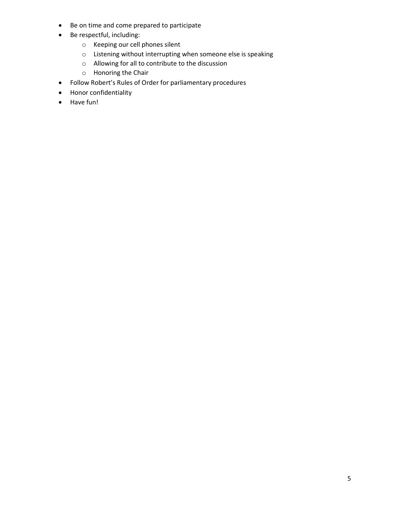- Be on time and come prepared to participate
- Be respectful, including:
	- o Keeping our cell phones silent
	- o Listening without interrupting when someone else is speaking
	- o Allowing for all to contribute to the discussion
	- o Honoring the Chair
- Follow Robert's Rules of Order for parliamentary procedures
- Honor confidentiality
- Have fun!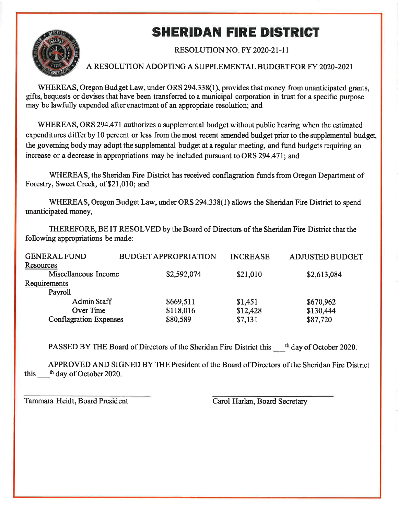## **SHERIDAN FIRE DISTRICT**



#### **RESOLUTION NO. FY 2020-21-11**

### A RESOLUTION ADOPTING A SUPPLEMENTAL BUDGET FOR FY 2020-2021

WHEREAS, Oregon Budget Law, under ORS 294.338(1), provides that money from unanticipated grants. gifts, bequests or devises that have been transferred to a municipal corporation in trust for a specific purpose may be lawfully expended after enactment of an appropriate resolution; and

WHEREAS, ORS 294.471 authorizes a supplemental budget without public hearing when the estimated expenditures differ by 10 percent or less from the most recent amended budget prior to the supplemental budget, the governing body may adopt the supplemental budget at a regular meeting, and fund budgets requiring an increase or a decrease in appropriations may be included pursuant to ORS 294.471; and

WHEREAS, the Sheridan Fire District has received conflagration funds from Oregon Department of Forestry, Sweet Creek, of \$21,010; and

WHEREAS, Oregon Budget Law, under ORS 294.338(1) allows the Sheridan Fire District to spend unanticipated money,

THEREFORE, BE IT RESOLVED by the Board of Directors of the Sheridan Fire District that the following appropriations be made:

| <b>GENERAL FUND</b>           | <b>BUDGET APPROPRIATION</b> | <b>INCREASE</b> | <b>ADJUSTED BUDGET</b> |
|-------------------------------|-----------------------------|-----------------|------------------------|
| Resources                     |                             |                 |                        |
| Miscellaneous Income          | \$2,592,074                 | \$21,010        | \$2,613,084            |
| Requirements                  |                             |                 |                        |
| Payroll                       |                             |                 |                        |
| <b>Admin Staff</b>            | \$669,511                   | \$1,451         | \$670,962              |
| Over Time                     | \$118,016                   | \$12,428        | \$130,444              |
| <b>Conflagration Expenses</b> | \$80,589                    | \$7,131         | \$87,720               |
|                               |                             |                 |                        |

PASSED BY THE Board of Directors of the Sheridan Fire District this the day of October 2020.

APPROVED AND SIGNED BY THE President of the Board of Directors of the Sheridan Fire District this the day of October 2020.

Tammara Heidt, Board President

Carol Harlan, Board Secretary